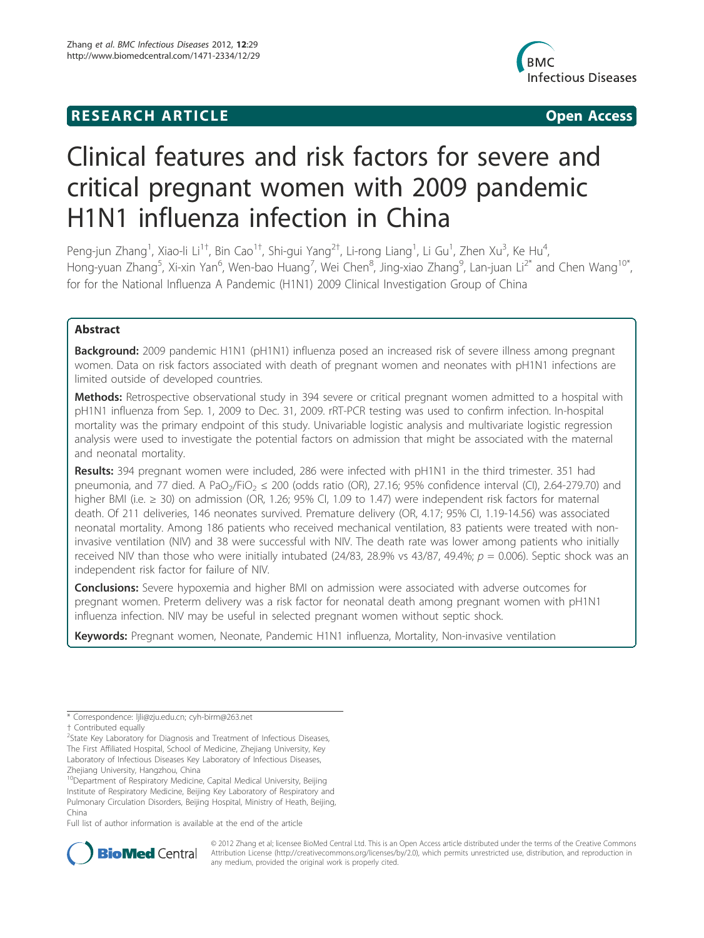## **RESEARCH ARTICLE Example 2018 12:00 Department of the Contract Open Access**



# Clinical features and risk factors for severe and critical pregnant women with 2009 pandemic H1N1 influenza infection in China

Peng-jun Zhang<sup>1</sup>, Xiao-li Li<sup>1†</sup>, Bin Cao<sup>1†</sup>, Shi-gui Yang<sup>2†</sup>, Li-rong Liang<sup>1</sup>, Li Gu<sup>1</sup>, Zhen Xu<sup>3</sup>, Ke Hu<sup>4</sup> , Hong-yuan Zhang<sup>5</sup>, Xi-xin Yan<sup>6</sup>, Wen-bao Huang<sup>7</sup>, Wei Chen<sup>8</sup>, Jing-xiao Zhang<sup>9</sup>, Lan-juan Li<sup>2\*</sup> and Chen Wang<sup>10\*</sup>, for for the National Influenza A Pandemic (H1N1) 2009 Clinical Investigation Group of China

## Abstract

Background: 2009 pandemic H1N1 (pH1N1) influenza posed an increased risk of severe illness among pregnant women. Data on risk factors associated with death of pregnant women and neonates with pH1N1 infections are limited outside of developed countries.

Methods: Retrospective observational study in 394 severe or critical pregnant women admitted to a hospital with pH1N1 influenza from Sep. 1, 2009 to Dec. 31, 2009. rRT-PCR testing was used to confirm infection. In-hospital mortality was the primary endpoint of this study. Univariable logistic analysis and multivariate logistic regression analysis were used to investigate the potential factors on admission that might be associated with the maternal and neonatal mortality.

Results: 394 pregnant women were included, 286 were infected with pH1N1 in the third trimester. 351 had pneumonia, and 77 died. A PaO<sub>2</sub>/FiO<sub>2</sub>  $\leq$  200 (odds ratio (OR), 27.16; 95% confidence interval (CI), 2.64-279.70) and higher BMI (i.e. ≥ 30) on admission (OR, 1.26; 95% CI, 1.09 to 1.47) were independent risk factors for maternal death. Of 211 deliveries, 146 neonates survived. Premature delivery (OR, 4.17; 95% CI, 1.19-14.56) was associated neonatal mortality. Among 186 patients who received mechanical ventilation, 83 patients were treated with noninvasive ventilation (NIV) and 38 were successful with NIV. The death rate was lower among patients who initially received NIV than those who were initially intubated (24/83, 28.9% vs 43/87, 49.4%;  $p = 0.006$ ). Septic shock was an independent risk factor for failure of NIV.

**Conclusions:** Severe hypoxemia and higher BMI on admission were associated with adverse outcomes for pregnant women. Preterm delivery was a risk factor for neonatal death among pregnant women with pH1N1 influenza infection. NIV may be useful in selected pregnant women without septic shock.

Keywords: Pregnant women, Neonate, Pandemic H1N1 influenza, Mortality, Non-invasive ventilation

<sup>2</sup>State Key Laboratory for Diagnosis and Treatment of Infectious Diseases, The First Affiliated Hospital, School of Medicine, Zhejiang University, Key Laboratory of Infectious Diseases Key Laboratory of Infectious Diseases, Zhejiang University, Hangzhou, China

10Department of Respiratory Medicine, Capital Medical University, Beijing Institute of Respiratory Medicine, Beijing Key Laboratory of Respiratory and Pulmonary Circulation Disorders, Beijing Hospital, Ministry of Heath, Beijing, China

Full list of author information is available at the end of the article



© 2012 Zhang et al; licensee BioMed Central Ltd. This is an Open Access article distributed under the terms of the Creative Commons Attribution License (http://creativecommons.org/licenses/by/2.0), which permits unrestricted use, distribution, and reproduction in any medium, provided the original work is properly cited.

<sup>\*</sup> Correspondence: ljli@zju.edu.cn; cyh-birm@263.net

<sup>†</sup> Contributed equally <sup>2</sup>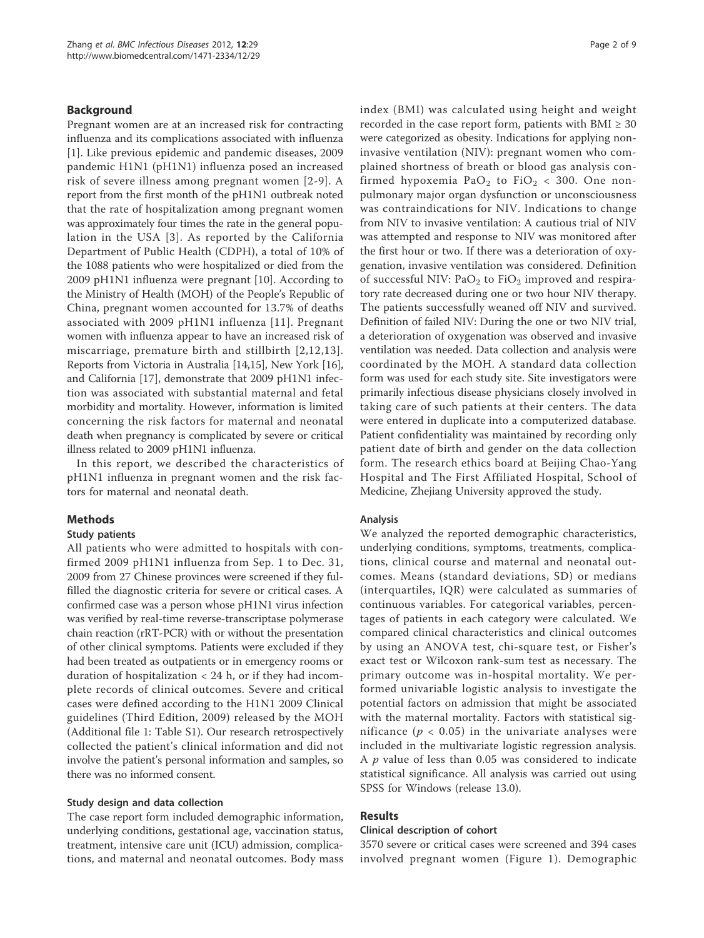## Background

Pregnant women are at an increased risk for contracting influenza and its complications associated with influenza [1]. Like previous epidemic and pandemic diseases, 2009 pandemic H1N1 (pH1N1) influenza posed an increased risk of severe illness among pregnant women [2-9]. A report from the first month of the pH1N1 outbreak noted that the rate of hospitalization among pregnant women was approximately four times the rate in the general population in the USA [3]. As reported by the California Department of Public Health (CDPH), a total of 10% of the 1088 patients who were hospitalized or died from the 2009 pH1N1 influenza were pregnant [10]. According to the Ministry of Health (MOH) of the People's Republic of China, pregnant women accounted for 13.7% of deaths associated with 2009 pH1N1 influenza [11]. Pregnant women with influenza appear to have an increased risk of miscarriage, premature birth and stillbirth [2,12,13]. Reports from Victoria in Australia [14,15], New York [16], and California [17], demonstrate that 2009 pH1N1 infection was associated with substantial maternal and fetal morbidity and mortality. However, information is limited concerning the risk factors for maternal and neonatal death when pregnancy is complicated by severe or critical illness related to 2009 pH1N1 influenza.

In this report, we described the characteristics of pH1N1 influenza in pregnant women and the risk factors for maternal and neonatal death.

## Methods

## Study patients

All patients who were admitted to hospitals with confirmed 2009 pH1N1 influenza from Sep. 1 to Dec. 31, 2009 from 27 Chinese provinces were screened if they fulfilled the diagnostic criteria for severe or critical cases. A confirmed case was a person whose pH1N1 virus infection was verified by real-time reverse-transcriptase polymerase chain reaction (rRT-PCR) with or without the presentation of other clinical symptoms. Patients were excluded if they had been treated as outpatients or in emergency rooms or duration of hospitalization  $<$  24 h, or if they had incomplete records of clinical outcomes. Severe and critical cases were defined according to the H1N1 2009 Clinical guidelines (Third Edition, 2009) released by the MOH (Additional file 1: Table S1). Our research retrospectively collected the patient's clinical information and did not involve the patient's personal information and samples, so there was no informed consent.

## Study design and data collection

The case report form included demographic information, underlying conditions, gestational age, vaccination status, treatment, intensive care unit (ICU) admission, complications, and maternal and neonatal outcomes. Body mass index (BMI) was calculated using height and weight recorded in the case report form, patients with  $BMI \geq 30$ were categorized as obesity. Indications for applying noninvasive ventilation (NIV): pregnant women who complained shortness of breath or blood gas analysis confirmed hypoxemia PaO<sub>2</sub> to FiO<sub>2</sub> < 300. One nonpulmonary major organ dysfunction or unconsciousness was contraindications for NIV. Indications to change from NIV to invasive ventilation: A cautious trial of NIV was attempted and response to NIV was monitored after the first hour or two. If there was a deterioration of oxygenation, invasive ventilation was considered. Definition of successful NIV:  $PaO<sub>2</sub>$  to FiO<sub>2</sub> improved and respiratory rate decreased during one or two hour NIV therapy. The patients successfully weaned off NIV and survived. Definition of failed NIV: During the one or two NIV trial, a deterioration of oxygenation was observed and invasive ventilation was needed. Data collection and analysis were coordinated by the MOH. A standard data collection form was used for each study site. Site investigators were primarily infectious disease physicians closely involved in taking care of such patients at their centers. The data were entered in duplicate into a computerized database. Patient confidentiality was maintained by recording only patient date of birth and gender on the data collection form. The research ethics board at Beijing Chao-Yang Hospital and The First Affiliated Hospital, School of Medicine, Zhejiang University approved the study.

#### Analysis

We analyzed the reported demographic characteristics, underlying conditions, symptoms, treatments, complications, clinical course and maternal and neonatal outcomes. Means (standard deviations, SD) or medians (interquartiles, IQR) were calculated as summaries of continuous variables. For categorical variables, percentages of patients in each category were calculated. We compared clinical characteristics and clinical outcomes by using an ANOVA test, chi-square test, or Fisher's exact test or Wilcoxon rank-sum test as necessary. The primary outcome was in-hospital mortality. We performed univariable logistic analysis to investigate the potential factors on admission that might be associated with the maternal mortality. Factors with statistical significance ( $p < 0.05$ ) in the univariate analyses were included in the multivariate logistic regression analysis. A  $p$  value of less than 0.05 was considered to indicate statistical significance. All analysis was carried out using SPSS for Windows (release 13.0).

## Results

## Clinical description of cohort

3570 severe or critical cases were screened and 394 cases involved pregnant women (Figure 1). Demographic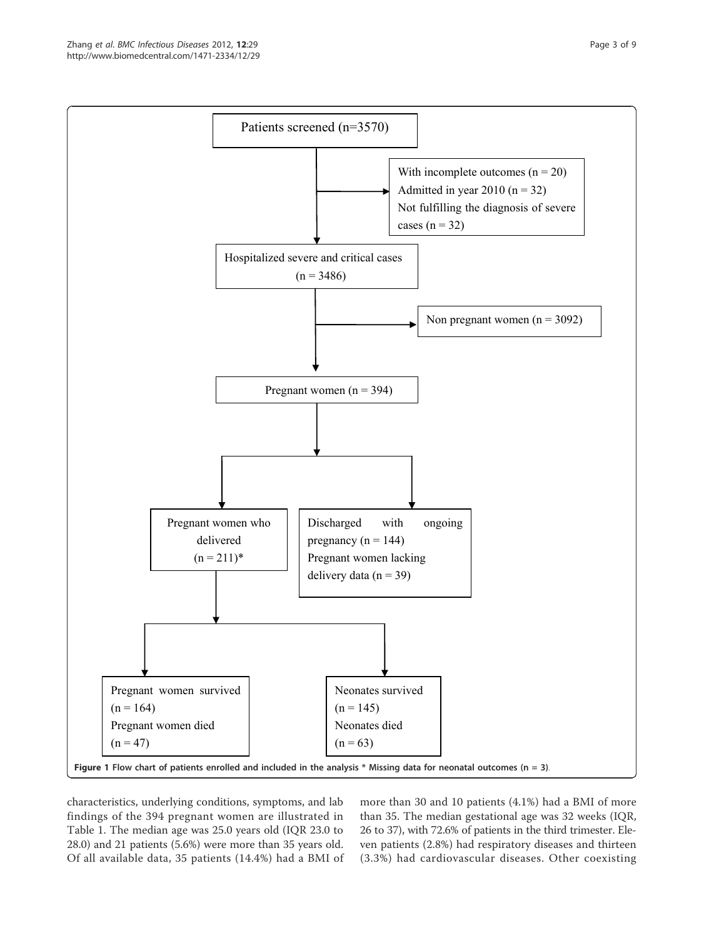

characteristics, underlying conditions, symptoms, and lab findings of the 394 pregnant women are illustrated in Table 1. The median age was 25.0 years old (IQR 23.0 to 28.0) and 21 patients (5.6%) were more than 35 years old. Of all available data, 35 patients (14.4%) had a BMI of

more than 30 and 10 patients (4.1%) had a BMI of more than 35. The median gestational age was 32 weeks (IQR, 26 to 37), with 72.6% of patients in the third trimester. Eleven patients (2.8%) had respiratory diseases and thirteen (3.3%) had cardiovascular diseases. Other coexisting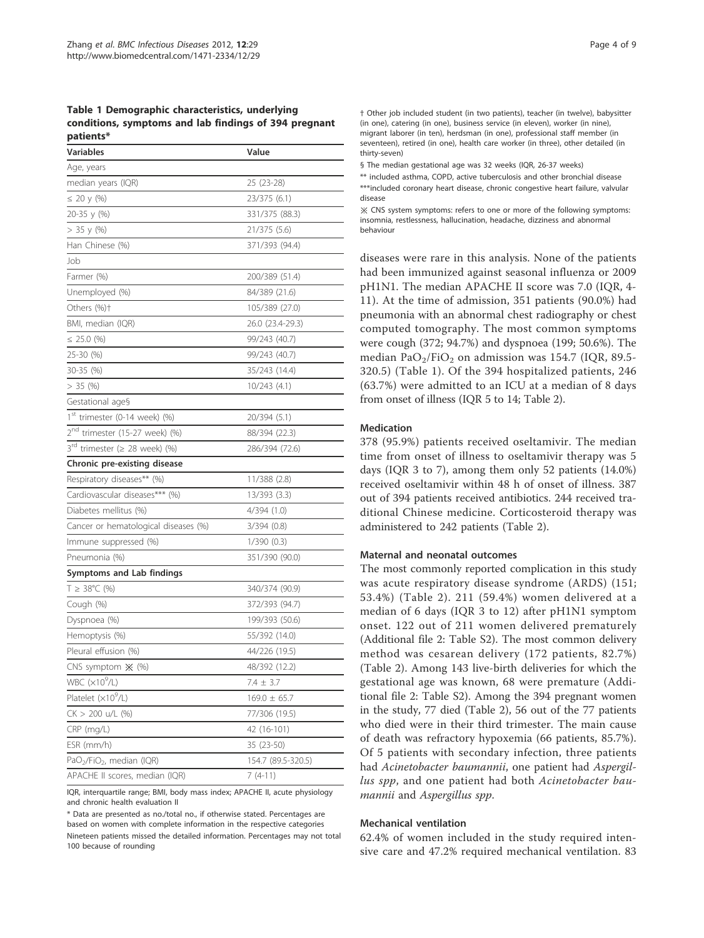Table 1 Demographic characteristics, underlying conditions, symptoms and lab findings of 394 pregnant patients\*

| Variables                                         | Value              |  |  |  |
|---------------------------------------------------|--------------------|--|--|--|
| Age, years                                        |                    |  |  |  |
| median years (IQR)                                | 25 (23-28)         |  |  |  |
| $\leq$ 20 y (%)                                   | 23/375 (6.1)       |  |  |  |
| 20-35 y (%)                                       | 331/375 (88.3)     |  |  |  |
| > 35 y (%)                                        | 21/375 (5.6)       |  |  |  |
| Han Chinese (%)                                   | 371/393 (94.4)     |  |  |  |
| Job                                               |                    |  |  |  |
| Farmer (%)                                        | 200/389 (51.4)     |  |  |  |
| Unemployed (%)                                    | 84/389 (21.6)      |  |  |  |
| Others (%)†                                       | 105/389 (27.0)     |  |  |  |
| BMI, median (IQR)                                 | 26.0 (23.4-29.3)   |  |  |  |
| $\leq$ 25.0 (%)                                   | 99/243 (40.7)      |  |  |  |
| 25-30 (%)                                         | 99/243 (40.7)      |  |  |  |
| 30-35 (%)                                         | 35/243 (14.4)      |  |  |  |
| $> 35$ (%)                                        | 10/243 (4.1)       |  |  |  |
| Gestational age§                                  |                    |  |  |  |
| 1 <sup>st</sup> trimester (0-14 week) (%)         | 20/394 (5.1)       |  |  |  |
| 2 <sup>nd</sup> trimester (15-27 week) (%)        | 88/394 (22.3)      |  |  |  |
| $3^{\text{rd}}$ trimester ( $\geq$ 28 week) (%)   | 286/394 (72.6)     |  |  |  |
| Chronic pre-existing disease                      |                    |  |  |  |
| Respiratory diseases** (%)                        | 11/388 (2.8)       |  |  |  |
| Cardiovascular diseases*** (%)                    | 13/393(3.3)        |  |  |  |
| Diabetes mellitus (%)                             | 4/394(1.0)         |  |  |  |
| Cancer or hematological diseases (%)              | 3/394(0.8)         |  |  |  |
| Immune suppressed (%)                             | 1/390(0.3)         |  |  |  |
| Pneumonia (%)                                     | 351/390 (90.0)     |  |  |  |
| Symptoms and Lab findings                         |                    |  |  |  |
| $T \geq 38^{\circ}$ C (%)                         | 340/374 (90.9)     |  |  |  |
| Cough (%)                                         | 372/393 (94.7)     |  |  |  |
| Dyspnoea (%)                                      | 199/393 (50.6)     |  |  |  |
| Hemoptysis (%)                                    | 55/392 (14.0)      |  |  |  |
| Pleural effusion (%)                              | 44/226 (19.5)      |  |  |  |
| CNS symptom $\mathbb{X}$ (%)                      | 48/392 (12.2)      |  |  |  |
| WBC $(x10^9/L)$                                   | $7.4 \pm 3.7$      |  |  |  |
| Platelet $(x10^9/L)$                              | $169.0 \pm 65.7$   |  |  |  |
| $CK > 200$ u/L (%)                                | 77/306 (19.5)      |  |  |  |
| CRP (mg/L)                                        | 42 (16-101)        |  |  |  |
| ESR (mm/h)                                        | 35 (23-50)         |  |  |  |
| PaO <sub>2</sub> /FiO <sub>2</sub> , median (IQR) | 154.7 (89.5-320.5) |  |  |  |
| APACHE II scores, median (IQR)                    | $7(4-11)$          |  |  |  |

IQR, interquartile range; BMI, body mass index; APACHE II, acute physiology and chronic health evaluation II

\* Data are presented as no./total no., if otherwise stated. Percentages are based on women with complete information in the respective categories Nineteen patients missed the detailed information. Percentages may not total 100 because of rounding

† Other job included student (in two patients), teacher (in twelve), babysitter (in one), catering (in one), business service (in eleven), worker (in nine), migrant laborer (in ten), herdsman (in one), professional staff member (in seventeen), retired (in one), health care worker (in three), other detailed (in thirty-seven)

§ The median gestational age was 32 weeks (IQR, 26-37 weeks)

\*\* included asthma, COPD, active tuberculosis and other bronchial disease \*\*\*included coronary heart disease, chronic congestive heart failure, valvular disease

※ CNS system symptoms: refers to one or more of the following symptoms: insomnia, restlessness, hallucination, headache, dizziness and abnormal behaviour

diseases were rare in this analysis. None of the patients had been immunized against seasonal influenza or 2009 pH1N1. The median APACHE II score was 7.0 (IQR, 4- 11). At the time of admission, 351 patients (90.0%) had pneumonia with an abnormal chest radiography or chest computed tomography. The most common symptoms were cough (372; 94.7%) and dyspnoea (199; 50.6%). The median Pa $O_2$ /Fi $O_2$  on admission was 154.7 (IQR, 89.5-320.5) (Table 1). Of the 394 hospitalized patients, 246 (63.7%) were admitted to an ICU at a median of 8 days from onset of illness (IQR 5 to 14; Table 2).

#### Medication

378 (95.9%) patients received oseltamivir. The median time from onset of illness to oseltamivir therapy was 5 days (IQR 3 to 7), among them only 52 patients (14.0%) received oseltamivir within 48 h of onset of illness. 387 out of 394 patients received antibiotics. 244 received traditional Chinese medicine. Corticosteroid therapy was administered to 242 patients (Table 2).

#### Maternal and neonatal outcomes

The most commonly reported complication in this study was acute respiratory disease syndrome (ARDS) (151; 53.4%) (Table 2). 211 (59.4%) women delivered at a median of 6 days (IQR 3 to 12) after pH1N1 symptom onset. 122 out of 211 women delivered prematurely (Additional file 2: Table S2). The most common delivery method was cesarean delivery (172 patients, 82.7%) (Table 2). Among 143 live-birth deliveries for which the gestational age was known, 68 were premature (Additional file 2: Table S2). Among the 394 pregnant women in the study, 77 died (Table 2), 56 out of the 77 patients who died were in their third trimester. The main cause of death was refractory hypoxemia (66 patients, 85.7%). Of 5 patients with secondary infection, three patients had Acinetobacter baumannii, one patient had Aspergillus spp, and one patient had both Acinetobacter baumannii and Aspergillus spp.

## Mechanical ventilation

62.4% of women included in the study required intensive care and 47.2% required mechanical ventilation. 83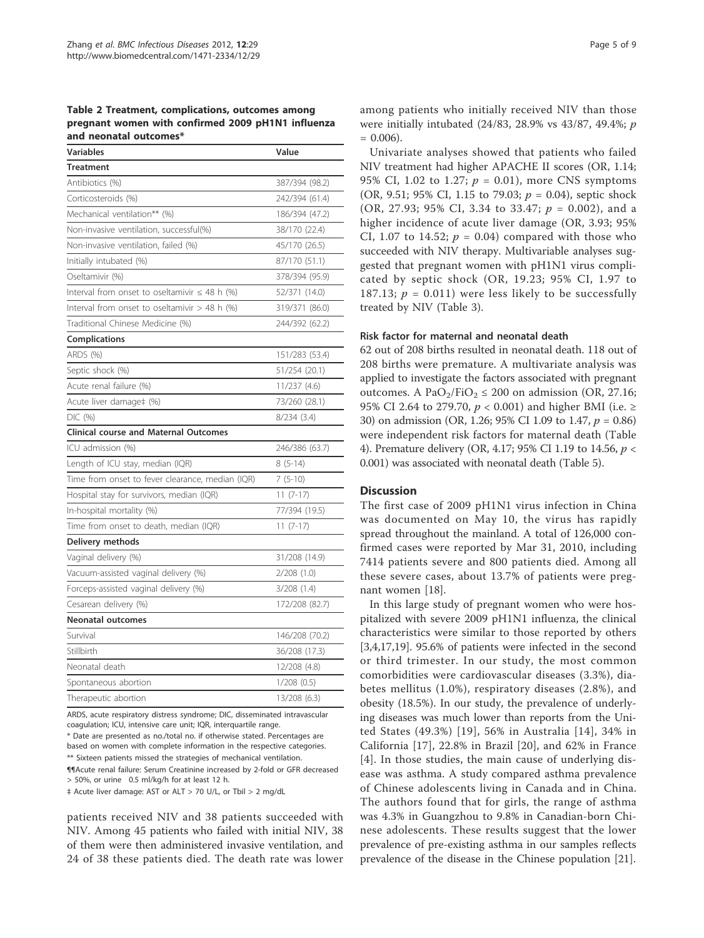Table 2 Treatment, complications, outcomes among pregnant women with confirmed 2009 pH1N1 influenza and neonatal outcomes\*

| <b>Variables</b>                                   | Value          |
|----------------------------------------------------|----------------|
| <b>Treatment</b>                                   |                |
| Antibiotics (%)                                    | 387/394 (98.2) |
| Corticosteroids (%)                                | 242/394 (61.4) |
| Mechanical ventilation** (%)                       | 186/394 (47.2) |
| Non-invasive ventilation, successful(%)            | 38/170 (22.4)  |
| Non-invasive ventilation, failed (%)               | 45/170 (26.5)  |
| Initially intubated (%)                            | 87/170 (51.1)  |
| Oseltamivir (%)                                    | 378/394 (95.9) |
| Interval from onset to oseltamivir $\leq$ 48 h (%) | 52/371 (14.0)  |
| Interval from onset to oseltamivir $>$ 48 h (%)    | 319/371 (86.0) |
| Traditional Chinese Medicine (%)                   | 244/392 (62.2) |
| <b>Complications</b>                               |                |
| ARDS (%)                                           | 151/283 (53.4) |
| Septic shock (%)                                   | 51/254 (20.1)  |
| Acute renal failure (%)                            | 11/237 (4.6)   |
| Acute liver damage‡ (%)                            | 73/260 (28.1)  |
| DIC (%)                                            | 8/234 (3.4)    |
| <b>Clinical course and Maternal Outcomes</b>       |                |
| ICU admission (%)                                  | 246/386 (63.7) |
| Length of ICU stay, median (IQR)                   | $8(5-14)$      |
| Time from onset to fever clearance, median (IQR)   | $7(5-10)$      |
| Hospital stay for survivors, median (IQR)          | $11(7-17)$     |
| In-hospital mortality (%)                          | 77/394 (19.5)  |
| Time from onset to death, median (IQR)             | $11(7-17)$     |
| Delivery methods                                   |                |
| Vaginal delivery (%)                               | 31/208 (14.9)  |
| Vacuum-assisted vaginal delivery (%)               | 2/208(1.0)     |
| Forceps-assisted vaginal delivery (%)              | 3/208(1.4)     |
| Cesarean delivery (%)                              | 172/208 (82.7) |
| <b>Neonatal outcomes</b>                           |                |
| Survival                                           | 146/208 (70.2) |
| Stillbirth                                         | 36/208 (17.3)  |
| Neonatal death                                     | 12/208 (4.8)   |
| Spontaneous abortion                               | 1/208(0.5)     |
| Therapeutic abortion                               | 13/208 (6.3)   |

ARDS, acute respiratory distress syndrome; DIC, disseminated intravascular coagulation; ICU, intensive care unit; IQR, interquartile range.

\* Date are presented as no./total no. if otherwise stated. Percentages are based on women with complete information in the respective categories. \*\* Sixteen patients missed the strategies of mechanical ventilation.

¶¶Acute renal failure: Serum Creatinine increased by 2-fold or GFR decreased > 50%, or urine 0.5 ml/kg/h for at least 12 h.

‡ Acute liver damage: AST or ALT > 70 U/L, or Tbil > 2 mg/dL

patients received NIV and 38 patients succeeded with NIV. Among 45 patients who failed with initial NIV, 38 of them were then administered invasive ventilation, and 24 of 38 these patients died. The death rate was lower among patients who initially received NIV than those were initially intubated (24/83, 28.9% vs 43/87, 49.4%; p  $= 0.006$ ).

Univariate analyses showed that patients who failed NIV treatment had higher APACHE II scores (OR, 1.14; 95% CI, 1.02 to 1.27;  $p = 0.01$ ), more CNS symptoms (OR, 9.51; 95% CI, 1.15 to 79.03;  $p = 0.04$ ), septic shock (OR, 27.93; 95% CI, 3.34 to 33.47;  $p = 0.002$ ), and a higher incidence of acute liver damage (OR, 3.93; 95% CI, 1.07 to 14.52;  $p = 0.04$ ) compared with those who succeeded with NIV therapy. Multivariable analyses suggested that pregnant women with pH1N1 virus complicated by septic shock (OR, 19.23; 95% CI, 1.97 to 187.13;  $p = 0.011$ ) were less likely to be successfully treated by NIV (Table 3).

## Risk factor for maternal and neonatal death

62 out of 208 births resulted in neonatal death. 118 out of 208 births were premature. A multivariate analysis was applied to investigate the factors associated with pregnant outcomes. A PaO<sub>2</sub>/FiO<sub>2</sub>  $\leq$  200 on admission (OR, 27.16; 95% CI 2.64 to 279.70,  $p < 0.001$ ) and higher BMI (i.e.  $\ge$ 30) on admission (OR, 1.26; 95% CI 1.09 to 1.47, p = 0.86) were independent risk factors for maternal death (Table 4). Premature delivery (OR, 4.17; 95% CI 1.19 to 14.56, p <sup>&</sup>lt; 0.001) was associated with neonatal death (Table 5).

## **Discussion**

The first case of 2009 pH1N1 virus infection in China was documented on May 10, the virus has rapidly spread throughout the mainland. A total of 126,000 confirmed cases were reported by Mar 31, 2010, including 7414 patients severe and 800 patients died. Among all these severe cases, about 13.7% of patients were pregnant women [18].

In this large study of pregnant women who were hospitalized with severe 2009 pH1N1 influenza, the clinical characteristics were similar to those reported by others [3,4,17,19]. 95.6% of patients were infected in the second or third trimester. In our study, the most common comorbidities were cardiovascular diseases (3.3%), diabetes mellitus (1.0%), respiratory diseases (2.8%), and obesity (18.5%). In our study, the prevalence of underlying diseases was much lower than reports from the United States (49.3%) [19], 56% in Australia [14], 34% in California [17], 22.8% in Brazil [20], and 62% in France [4]. In those studies, the main cause of underlying disease was asthma. A study compared asthma prevalence of Chinese adolescents living in Canada and in China. The authors found that for girls, the range of asthma was 4.3% in Guangzhou to 9.8% in Canadian-born Chinese adolescents. These results suggest that the lower prevalence of pre-existing asthma in our samples reflects prevalence of the disease in the Chinese population [21].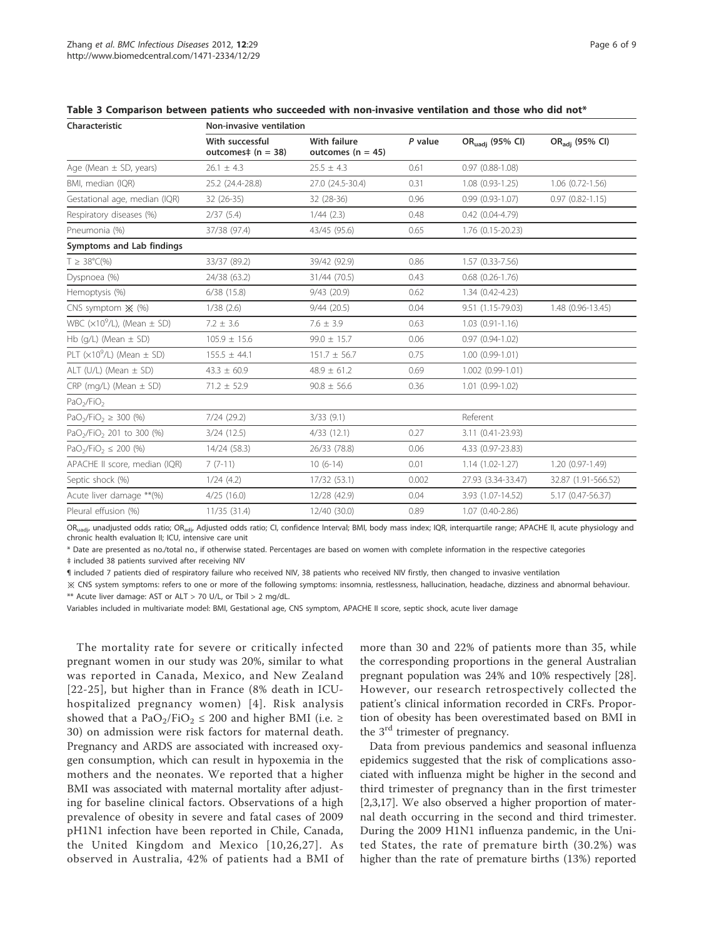| Characteristic                                    | Non-invasive ventilation                   |                                              |           |                             |                            |  |  |
|---------------------------------------------------|--------------------------------------------|----------------------------------------------|-----------|-----------------------------|----------------------------|--|--|
|                                                   | With successful<br>outcomes $\pm$ (n = 38) | <b>With failure</b><br>outcomes ( $n = 45$ ) | $P$ value | OR <sub>uadj</sub> (95% CI) | OR <sub>adj</sub> (95% CI) |  |  |
| Age (Mean $\pm$ SD, years)                        | $26.1 \pm 4.3$                             | $25.5 \pm 4.3$                               | 0.61      | $0.97(0.88 - 1.08)$         |                            |  |  |
| BMI, median (IQR)                                 | 25.2 (24.4-28.8)                           | 27.0 (24.5-30.4)                             | 0.31      | $1.08(0.93 - 1.25)$         | $1.06$ $(0.72 - 1.56)$     |  |  |
| Gestational age, median (IQR)                     | $32(26-35)$                                | 32 (28-36)                                   | 0.96      | $0.99(0.93 - 1.07)$         | $0.97(0.82 - 1.15)$        |  |  |
| Respiratory diseases (%)                          | 2/37(5.4)                                  | $1/44$ (2.3)                                 | 0.48      | $0.42(0.04 - 4.79)$         |                            |  |  |
| Pneumonia (%)                                     | 37/38 (97.4)                               | 43/45 (95.6)                                 | 0.65      | 1.76 (0.15-20.23)           |                            |  |  |
| Symptoms and Lab findings                         |                                            |                                              |           |                             |                            |  |  |
| $T \geq 38^{\circ}C(\%)$                          | 33/37 (89.2)                               | 39/42 (92.9)                                 | 0.86      | $1.57(0.33 - 7.56)$         |                            |  |  |
| Dyspnoea (%)                                      | 24/38 (63.2)                               | 31/44 (70.5)                                 | 0.43      | $0.68$ $(0.26 - 1.76)$      |                            |  |  |
| Hemoptysis (%)                                    | 6/38(15.8)                                 | $9/43$ (20.9)                                | 0.62      | 1.34 (0.42-4.23)            |                            |  |  |
| CNS symptom $\mathbb{X}$ (%)                      | 1/38(2.6)                                  | 9/44(20.5)                                   | 0.04      | 9.51 (1.15-79.03)           | 1.48 (0.96-13.45)          |  |  |
| WBC $(x10^9/L)$ , (Mean $\pm$ SD)                 | $7.2 \pm 3.6$                              | $7.6 \pm 3.9$                                | 0.63      | $1.03(0.91-1.16)$           |                            |  |  |
| Hb $(q/L)$ (Mean $\pm$ SD)                        | $105.9 \pm 15.6$                           | $99.0 \pm 15.7$                              | 0.06      | $0.97(0.94 - 1.02)$         |                            |  |  |
| PLT $(x10^9/L)$ (Mean $\pm$ SD)                   | $155.5 \pm 44.1$                           | $151.7 \pm 56.7$                             | 0.75      | $1.00(0.99-1.01)$           |                            |  |  |
| ALT $(U/L)$ (Mean $\pm$ SD)                       | $43.3 \pm 60.9$                            | $48.9 \pm 61.2$                              | 0.69      | 1.002 (0.99-1.01)           |                            |  |  |
| $CRP$ (mg/L) (Mean $\pm$ SD)                      | $71.2 \pm 52.9$                            | $90.8 \pm 56.6$                              | 0.36      | $1.01(0.99-1.02)$           |                            |  |  |
| PaO <sub>2</sub> /FiO <sub>2</sub>                |                                            |                                              |           |                             |                            |  |  |
| PaO <sub>2</sub> /FiO <sub>2</sub> $\geq$ 300 (%) | 7/24(29.2)                                 | 3/33(9.1)                                    |           | Referent                    |                            |  |  |
| PaO <sub>2</sub> /FiO <sub>2</sub> 201 to 300 (%) | 3/24(12.5)                                 | 4/33(12.1)                                   | 0.27      | 3.11 (0.41-23.93)           |                            |  |  |
| $PaO2/FiO2 \le 200$ (%)                           | 14/24 (58.3)                               | 26/33 (78.8)                                 | 0.06      | 4.33 (0.97-23.83)           |                            |  |  |
| APACHE II score, median (IQR)                     | $7(7-11)$                                  | $10(6-14)$                                   | 0.01      | $1.14(1.02 - 1.27)$         | $1.20(0.97-1.49)$          |  |  |
| Septic shock (%)                                  | 1/24(4.2)                                  | 17/32 (53.1)                                 | 0.002     | 27.93 (3.34-33.47)          | 32.87 (1.91-566.52)        |  |  |
| Acute liver damage ** (%)                         | 4/25(16.0)                                 | 12/28 (42.9)                                 | 0.04      | 3.93 (1.07-14.52)           | 5.17 (0.47-56.37)          |  |  |
| Pleural effusion (%)                              | 11/35(31.4)                                | 12/40 (30.0)                                 | 0.89      | 1.07 (0.40-2.86)            |                            |  |  |

Table 3 Comparison between patients who succeeded with non-invasive ventilation and those who did not\*

OR<sub>uadi</sub>, unadjusted odds ratio; OR<sub>adi</sub>, Adjusted odds ratio; CI, confidence Interval; BMI, body mass index; IQR, interquartile range; APACHE II, acute physiology and chronic health evaluation II; ICU, intensive care unit

\* Date are presented as no./total no., if otherwise stated. Percentages are based on women with complete information in the respective categories

‡ included 38 patients survived after receiving NIV

¶ included 7 patients died of respiratory failure who received NIV, 38 patients who received NIV firstly, then changed to invasive ventilation

※ CNS system symptoms: refers to one or more of the following symptoms: insomnia, restlessness, hallucination, headache, dizziness and abnormal behaviour. \*\* Acute liver damage: AST or ALT > 70 U/L, or Tbil > 2 mg/dL.

Variables included in multivariate model: BMI, Gestational age, CNS symptom, APACHE II score, septic shock, acute liver damage

The mortality rate for severe or critically infected pregnant women in our study was 20%, similar to what was reported in Canada, Mexico, and New Zealand [22-25], but higher than in France (8% death in ICUhospitalized pregnancy women) [4]. Risk analysis showed that a PaO<sub>2</sub>/FiO<sub>2</sub>  $\leq$  200 and higher BMI (i.e.  $\geq$ 30) on admission were risk factors for maternal death. Pregnancy and ARDS are associated with increased oxygen consumption, which can result in hypoxemia in the mothers and the neonates. We reported that a higher BMI was associated with maternal mortality after adjusting for baseline clinical factors. Observations of a high prevalence of obesity in severe and fatal cases of 2009 pH1N1 infection have been reported in Chile, Canada, the United Kingdom and Mexico [10,26,27]. As observed in Australia, 42% of patients had a BMI of more than 30 and 22% of patients more than 35, while the corresponding proportions in the general Australian pregnant population was 24% and 10% respectively [28]. However, our research retrospectively collected the patient's clinical information recorded in CRFs. Proportion of obesity has been overestimated based on BMI in the  $3<sup>rd</sup>$  trimester of pregnancy.

Data from previous pandemics and seasonal influenza epidemics suggested that the risk of complications associated with influenza might be higher in the second and third trimester of pregnancy than in the first trimester [2,3,17]. We also observed a higher proportion of maternal death occurring in the second and third trimester. During the 2009 H1N1 influenza pandemic, in the United States, the rate of premature birth (30.2%) was higher than the rate of premature births (13%) reported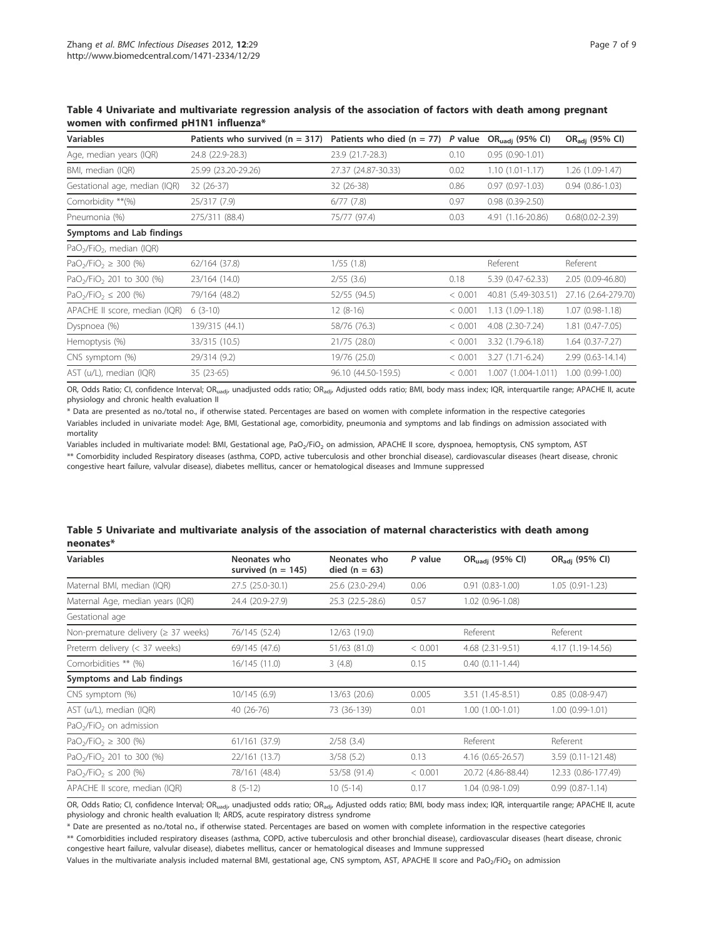| <b>Variables</b>                                  | Patients who survived $(n = 317)$ | Patients who died $(n = 77)$ | P value | OR <sub>uadi</sub> (95% CI) | OR <sub>adi</sub> (95% CI) |
|---------------------------------------------------|-----------------------------------|------------------------------|---------|-----------------------------|----------------------------|
| Age, median years (IQR)                           | 24.8 (22.9-28.3)                  | 23.9 (21.7-28.3)             | 0.10    | $0.95(0.90-1.01)$           |                            |
| BMI, median (IQR)                                 | 25.99 (23.20-29.26)               | 27.37 (24.87-30.33)          | 0.02    | $1.10(1.01-1.17)$           | 1.26 (1.09-1.47)           |
| Gestational age, median (IQR)                     | 32 (26-37)                        | $32(26-38)$                  | 0.86    | $0.97(0.97-1.03)$           | $0.94(0.86 - 1.03)$        |
| Comorbidity **(%)                                 | 25/317 (7.9)                      | $6/77$ $(7.8)$               | 0.97    | $0.98(0.39-2.50)$           |                            |
| Pneumonia (%)                                     | 275/311 (88.4)                    | 75/77 (97.4)                 | 0.03    | 4.91 (1.16-20.86)           | $0.68(0.02 - 2.39)$        |
| Symptoms and Lab findings                         |                                   |                              |         |                             |                            |
| PaO <sub>2</sub> /FiO <sub>2</sub> , median (IQR) |                                   |                              |         |                             |                            |
| PaO <sub>2</sub> /FiO <sub>2</sub> $\geq$ 300 (%) | 62/164 (37.8)                     | 1/55(1.8)                    |         | Referent                    | Referent                   |
| PaO <sub>2</sub> /FiO <sub>2</sub> 201 to 300 (%) | 23/164 (14.0)                     | $2/55$ (3.6)                 | 0.18    | 5.39 (0.47-62.33)           | $2.05(0.09-46.80)$         |
| $PaO2/FiO2 \le 200$ (%)                           | 79/164 (48.2)                     | 52/55 (94.5)                 | < 0.001 | 40.81 (5.49-303.51)         | 27.16 (2.64-279.70)        |
| APACHE II score, median (IQR)                     | $6(3-10)$                         | $12(8-16)$                   | < 0.001 | $1.13(1.09-1.18)$           | $1.07(0.98-1.18)$          |
| Dyspnoea (%)                                      | 139/315 (44.1)                    | 58/76 (76.3)                 | < 0.001 | 4.08 (2.30-7.24)            | 1.81 (0.47-7.05)           |
| Hemoptysis (%)                                    | 33/315 (10.5)                     | 21/75 (28.0)                 | < 0.001 | 3.32 (1.79-6.18)            | $1.64(0.37 - 7.27)$        |
| CNS symptom (%)                                   | 29/314 (9.2)                      | 19/76 (25.0)                 | < 0.001 | $3.27(1.71-6.24)$           | 2.99 (0.63-14.14)          |
| AST (u/L), median (IQR)                           | 35 (23-65)                        | 96.10 (44.50-159.5)          | < 0.001 | 1.007 (1.004-1.011)         | $1.00(0.99-1.00)$          |

Table 4 Univariate and multivariate regression analysis of the association of factors with death among pregnant women with confirmed pH1N1 influenza\*

OR, Odds Ratio; CI, confidence Interval; OR<sub>uadj</sub>, unadjusted odds ratio; OR<sub>adj</sub>, Adjusted odds ratio; BMI, body mass index; IQR, interquartile range; APACHE II, acute physiology and chronic health evaluation II

\* Data are presented as no./total no., if otherwise stated. Percentages are based on women with complete information in the respective categories Variables included in univariate model: Age, BMI, Gestational age, comorbidity, pneumonia and symptoms and lab findings on admission associated with mortality

Variables included in multivariate model: BMI, Gestational age, PaO<sub>2</sub>/FiO<sub>2</sub> on admission, APACHE II score, dyspnoea, hemoptysis, CNS symptom, AST \*\* Comorbidity included Respiratory diseases (asthma, COPD, active tuberculosis and other bronchial disease), cardiovascular diseases (heart disease, chronic congestive heart failure, valvular disease), diabetes mellitus, cancer or hematological diseases and Immune suppressed

| .                                                 |                                      |                                 |         |                             |                            |
|---------------------------------------------------|--------------------------------------|---------------------------------|---------|-----------------------------|----------------------------|
| <b>Variables</b>                                  | Neonates who<br>survived $(n = 145)$ | Neonates who<br>died $(n = 63)$ | P value | OR <sub>uadj</sub> (95% CI) | OR <sub>adi</sub> (95% CI) |
| Maternal BMI, median (IQR)                        | 27.5 (25.0-30.1)                     | 25.6 (23.0-29.4)                | 0.06    | $0.91(0.83 - 1.00)$         | $1.05(0.91 - 1.23)$        |
| Maternal Age, median years (IQR)                  | 24.4 (20.9-27.9)                     | 25.3 (22.5-28.6)                | 0.57    | 1.02 (0.96-1.08)            |                            |
| Gestational age                                   |                                      |                                 |         |                             |                            |
| Non-premature delivery ( $\geq$ 37 weeks)         | 76/145 (52.4)                        | 12/63 (19.0)                    |         | Referent                    | Referent                   |
| Preterm delivery (< 37 weeks)                     | 69/145 (47.6)                        | 51/63 (81.0)                    | < 0.001 | 4.68 (2.31-9.51)            | 4.17 (1.19-14.56)          |
| Comorbidities ** (%)                              | 16/145 (11.0)                        | 3(4.8)                          | 0.15    | $0.40(0.11 - 1.44)$         |                            |
| Symptoms and Lab findings                         |                                      |                                 |         |                             |                            |
| CNS symptom (%)                                   | 10/145(6.9)                          | 13/63 (20.6)                    | 0.005   | 3.51 (1.45-8.51)            | $0.85(0.08-9.47)$          |
| AST (u/L), median (IQR)                           | $40(26-76)$                          | 73 (36-139)                     | 0.01    | $1.00(1.00-1.01)$           | $1.00(0.99 - 1.01)$        |
| $PaO2/FiO2$ on admission                          |                                      |                                 |         |                             |                            |
| PaO <sub>2</sub> /FiO <sub>2</sub> $\geq$ 300 (%) | 61/161 (37.9)                        | $2/58$ (3.4)                    |         | Referent                    | Referent                   |
| PaO <sub>2</sub> /FiO <sub>2</sub> 201 to 300 (%) | 22/161 (13.7)                        | 3/58(5.2)                       | 0.13    | 4.16 (0.65-26.57)           | 3.59 (0.11-121.48)         |
| PaO <sub>2</sub> /FiO <sub>2</sub> $\leq$ 200 (%) | 78/161 (48.4)                        | 53/58 (91.4)                    | < 0.001 | 20.72 (4.86-88.44)          | 12.33 (0.86-177.49)        |
| APACHE II score, median (IQR)                     | $8(5-12)$                            | $10(5-14)$                      | 0.17    | 1.04 (0.98-1.09)            | $0.99(0.87 - 1.14)$        |

Table 5 Univariate and multivariate analysis of the association of maternal characteristics with death among neonates\*

OR, Odds Ratio; CI, confidence Interval; OR<sub>uadj</sub>, unadjusted odds ratio; OR<sub>adj</sub>, Adjusted odds ratio; BMI, body mass index; IQR, interquartile range; APACHE II, acute physiology and chronic health evaluation II; ARDS, acute respiratory distress syndrome

\* Date are presented as no./total no., if otherwise stated. Percentages are based on women with complete information in the respective categories

\*\* Comorbidities included respiratory diseases (asthma, COPD, active tuberculosis and other bronchial disease), cardiovascular diseases (heart disease, chronic congestive heart failure, valvular disease), diabetes mellitus, cancer or hematological diseases and Immune suppressed

Values in the multivariate analysis included maternal BMI, gestational age, CNS symptom, AST, APACHE II score and PaO<sub>2</sub>/FiO<sub>2</sub> on admission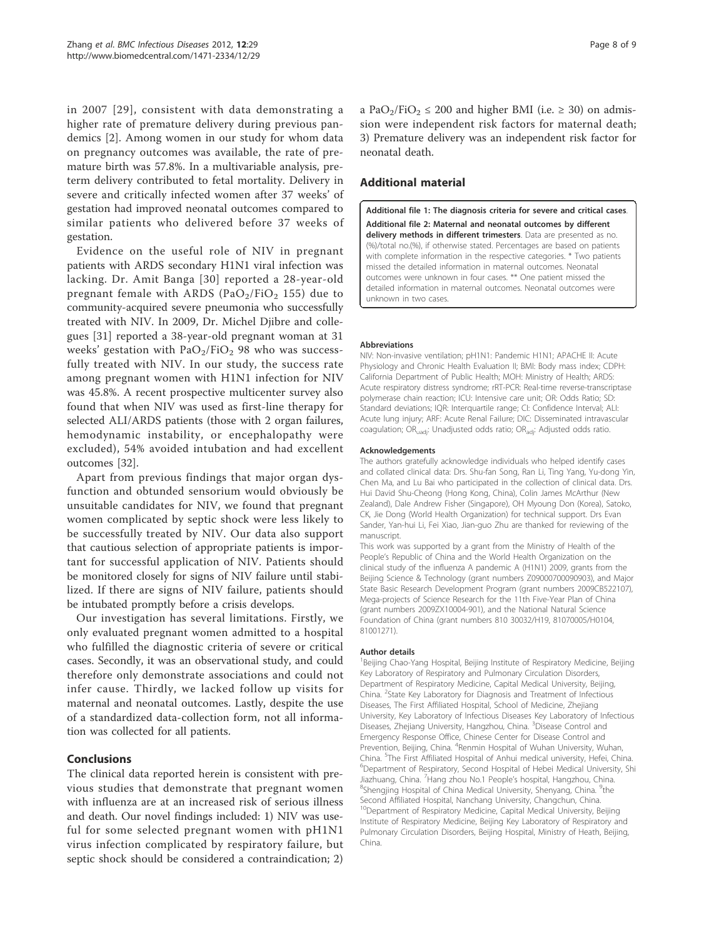in 2007 [29], consistent with data demonstrating a higher rate of premature delivery during previous pandemics [2]. Among women in our study for whom data on pregnancy outcomes was available, the rate of premature birth was 57.8%. In a multivariable analysis, preterm delivery contributed to fetal mortality. Delivery in severe and critically infected women after 37 weeks' of gestation had improved neonatal outcomes compared to similar patients who delivered before 37 weeks of gestation.

Evidence on the useful role of NIV in pregnant patients with ARDS secondary H1N1 viral infection was lacking. Dr. Amit Banga [30] reported a 28-year-old pregnant female with ARDS ( $PaO<sub>2</sub>/FiO<sub>2</sub> 155$ ) due to community-acquired severe pneumonia who successfully treated with NIV. In 2009, Dr. Michel Diibre and collegues [31] reported a 38-year-old pregnant woman at 31 weeks' gestation with  $PaO<sub>2</sub>/FiO<sub>2</sub>$  98 who was successfully treated with NIV. In our study, the success rate among pregnant women with H1N1 infection for NIV was 45.8%. A recent prospective multicenter survey also found that when NIV was used as first-line therapy for selected ALI/ARDS patients (those with 2 organ failures, hemodynamic instability, or encephalopathy were excluded), 54% avoided intubation and had excellent outcomes [32].

Apart from previous findings that major organ dysfunction and obtunded sensorium would obviously be unsuitable candidates for NIV, we found that pregnant women complicated by septic shock were less likely to be successfully treated by NIV. Our data also support that cautious selection of appropriate patients is important for successful application of NIV. Patients should be monitored closely for signs of NIV failure until stabilized. If there are signs of NIV failure, patients should be intubated promptly before a crisis develops.

Our investigation has several limitations. Firstly, we only evaluated pregnant women admitted to a hospital who fulfilled the diagnostic criteria of severe or critical cases. Secondly, it was an observational study, and could therefore only demonstrate associations and could not infer cause. Thirdly, we lacked follow up visits for maternal and neonatal outcomes. Lastly, despite the use of a standardized data-collection form, not all information was collected for all patients.

## Conclusions

The clinical data reported herein is consistent with previous studies that demonstrate that pregnant women with influenza are at an increased risk of serious illness and death. Our novel findings included: 1) NIV was useful for some selected pregnant women with pH1N1 virus infection complicated by respiratory failure, but septic shock should be considered a contraindication; 2) a PaO<sub>2</sub>/FiO<sub>2</sub>  $\leq$  200 and higher BMI (i.e.  $\geq$  30) on admission were independent risk factors for maternal death; 3) Premature delivery was an independent risk factor for neonatal death.

## Additional material

Additional file 1: The diagnosis criteria for severe and critical cases. Additional file 2: Maternal and neonatal outcomes by different delivery methods in different trimesters. Data are presented as no. (%)/total no.(%), if otherwise stated. Percentages are based on patients with complete information in the respective categories. \* Two patients missed the detailed information in maternal outcomes. Neonatal outcomes were unknown in four cases. \*\* One patient missed the detailed information in maternal outcomes. Neonatal outcomes were unknown in two cases.

#### Abbreviations

NIV: Non-invasive ventilation; pH1N1: Pandemic H1N1; APACHE II: Acute Physiology and Chronic Health Evaluation II; BMI: Body mass index; CDPH: California Department of Public Health; MOH: Ministry of Health; ARDS: Acute respiratory distress syndrome; rRT-PCR: Real-time reverse-transcriptase polymerase chain reaction; ICU: Intensive care unit; OR: Odds Ratio; SD: Standard deviations; IQR: Interquartile range; CI: Confidence Interval; ALI: Acute lung injury; ARF: Acute Renal Failure; DIC: Disseminated intravascular coagulation; OR<sub>uadj</sub>: Unadjusted odds ratio; OR<sub>adj</sub>: Adjusted odds ratio.

#### Acknowledgements

The authors gratefully acknowledge individuals who helped identify cases and collated clinical data: Drs. Shu-fan Song, Ran Li, Ting Yang, Yu-dong Yin, Chen Ma, and Lu Bai who participated in the collection of clinical data. Drs. Hui David Shu-Cheong (Hong Kong, China), Colin James McArthur (New Zealand), Dale Andrew Fisher (Singapore), OH Myoung Don (Korea), Satoko, CK, Jie Dong (World Health Organization) for technical support. Drs Evan Sander, Yan-hui Li, Fei Xiao, Jian-guo Zhu are thanked for reviewing of the manuscript.

This work was supported by a grant from the Ministry of Health of the People's Republic of China and the World Health Organization on the clinical study of the influenza A pandemic A (H1N1) 2009, grants from the Beijing Science & Technology (grant numbers Z09000700090903), and Major State Basic Research Development Program (grant numbers 2009CB522107), Mega-projects of Science Research for the 11th Five-Year Plan of China (grant numbers 2009ZX10004-901), and the National Natural Science Foundation of China (grant numbers 810 30032/H19, 81070005/H0104, 81001271).

#### Author details

<sup>1</sup>Beijing Chao-Yang Hospital, Beijing Institute of Respiratory Medicine, Beijing Key Laboratory of Respiratory and Pulmonary Circulation Disorders, Department of Respiratory Medicine, Capital Medical University, Beijing, China. <sup>2</sup>State Key Laboratory for Diagnosis and Treatment of Infectious Diseases, The First Affiliated Hospital, School of Medicine, Zhejiang University, Key Laboratory of Infectious Diseases Key Laboratory of Infectious Diseases, Zhejiang University, Hangzhou, China. <sup>3</sup>Disease Control and Emergency Response Office, Chinese Center for Disease Control and Prevention, Beijing, China. <sup>4</sup>Renmin Hospital of Wuhan University, Wuhan, China. <sup>5</sup>The First Affiliated Hospital of Anhui medical university, Hefei, China.<br><sup>6</sup>Department of Bespiratory, Second Hospital of Hobei Medical University, Sk Department of Respiratory, Second Hospital of Hebei Medical University, Shi Jiazhuang, China. <sup>7</sup> Hang zhou No.1 People's hospital, Hangzhou, China.<br><sup>8</sup>Shongjing Hospital of China Medical University Shonyang China. <sup>9</sup>tho Shengjing Hospital of China Medical University, Shenyang, China. <sup>9</sup>the Second Affiliated Hospital, Nanchang University, Changchun, China. <sup>10</sup>Department of Respiratory Medicine, Capital Medical University, Beijing Institute of Respiratory Medicine, Beijing Key Laboratory of Respiratory and Pulmonary Circulation Disorders, Beijing Hospital, Ministry of Heath, Beijing, China.